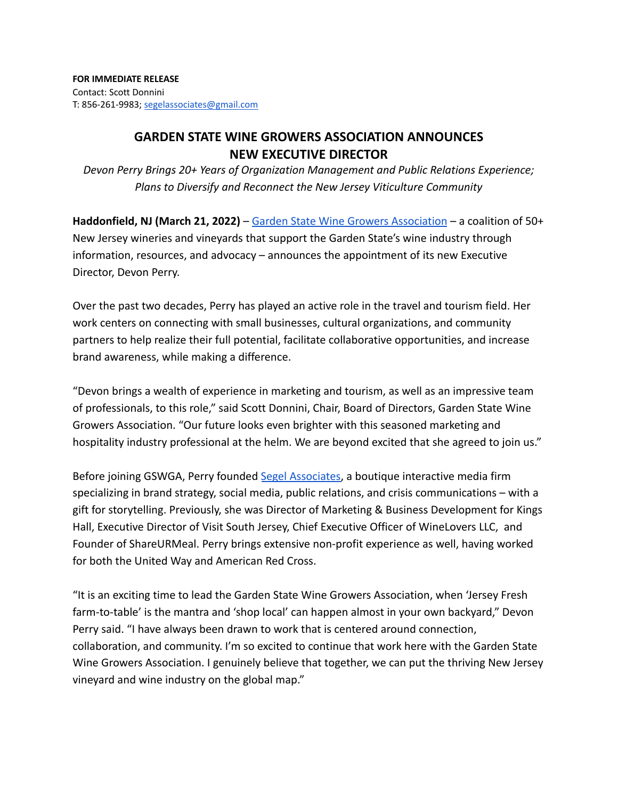## **GARDEN STATE WINE GROWERS ASSOCIATION ANNOUNCES NEW EXECUTIVE DIRECTOR**

*Devon Perry Brings 20+ Years of Organization Management and Public Relations Experience; Plans to Diversify and Reconnect the New Jersey Viticulture Community*

**Haddonfield, NJ (March 21, 2022)** – Garden State Wine [Growers Association](https://www.newjerseywines.com/) – a coalition of 50+ New Jersey wineries and vineyards that support the Garden State's wine industry through information, resources, and advocacy – announces the appointment of its new Executive Director, Devon Perry.

Over the past two decades, Perry has played an active role in the travel and tourism field. Her work centers on connecting with small businesses, cultural organizations, and community partners to help realize their full potential, facilitate collaborative opportunities, and increase brand awareness, while making a difference.

"Devon brings a wealth of experience in marketing and tourism, as well as an impressive team of professionals, to this role," said Scott Donnini, Chair, Board of Directors, Garden State Wine Growers Association. "Our future looks even brighter with this seasoned marketing and hospitality industry professional at the helm. We are beyond excited that she agreed to join us."

Before joining GSWGA, Perry founded [Segel Associates,](https://www.segelassociates.com/) a boutique interactive media firm specializing in brand strategy, social media, public relations, and crisis communications – with a gift for storytelling. Previously, she was Director of Marketing & Business Development for Kings Hall, Executive Director of Visit South Jersey, Chief Executive Officer of WineLovers LLC, and Founder of ShareURMeal. Perry brings extensive non-profit experience as well, having worked for both the United Way and American Red Cross.

"It is an exciting time to lead the Garden State Wine Growers Association, when 'Jersey Fresh farm-to-table' is the mantra and 'shop local' can happen almost in your own backyard," Devon Perry said. "I have always been drawn to work that is centered around connection, collaboration, and community. I'm so excited to continue that work here with the Garden State Wine Growers Association. I genuinely believe that together, we can put the thriving New Jersey vineyard and wine industry on the global map."